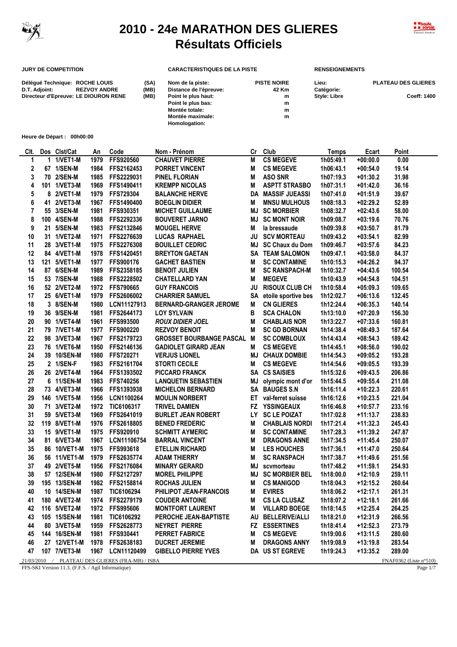

## **2010 - 24e MARATHON DES GLIERES Résultats Officiels**



## **JURY DE COMPETITION CARACTERISTIQUES DE LA PISTE RENSEIGNEMENTS**

| Délégué Technique: ROCHE LOUIS<br>D.T. Adjoint: | <b>REZVOY ANDRE</b> | (SA)<br>(MB) | Nom de la piste:<br>Distance de l'épreuve: | <b>PISTE NOIRE</b><br>42 Km | Lieu:<br>Catégorie: | <b>PLATEAU DES GLIERES</b> |
|-------------------------------------------------|---------------------|--------------|--------------------------------------------|-----------------------------|---------------------|----------------------------|
| Directeur d'Epreuve: LE DIOURON RENE            |                     | (MB)         | Point le plus haut:                        | m                           | <b>Style: Libre</b> | <b>Coeff: 1400</b>         |
|                                                 |                     |              | Point le plus bas:                         | m                           |                     |                            |
|                                                 |                     |              | Montée totale:                             | m                           |                     |                            |
|                                                 |                     |              | Montée maximale:                           | m                           |                     |                            |
|                                                 |                     |              | Homologation:                              |                             |                     |                            |

**Heure de Départ : 00h00:00**

| CIt. |    | Dos Clst/Cat | An   | Code                                             | Nom - Prénom                      | Cr        | Club                     | <b>Temps</b> | <b>Ecart</b> | Point                  |
|------|----|--------------|------|--------------------------------------------------|-----------------------------------|-----------|--------------------------|--------------|--------------|------------------------|
| 1    |    | 1 1/VET1-M   | 1979 | FFS920560                                        | <b>CHAUVET PIERRE</b>             | M         | <b>CS MEGEVE</b>         | 1h05:49.1    | $+00:00.0$   | 0.00                   |
| 2    |    | 67 1/SEN-M   | 1984 | FFS2162453                                       | PORRET VINCENT                    | M         | <b>CS MEGEVE</b>         | 1h06:43.1    | $+00:54.0$   | 19.14                  |
| 3    |    | 70 2/SEN-M   | 1985 | FFS2229031                                       | <b>PINEL FLORIAN</b>              | M         | <b>ASO SNR</b>           | 1h07:19.3    | $+01:30.2$   | 31.98                  |
| 4    |    | 101 1/VET3-M | 1969 | FFS1490411                                       | <b>KREMPP NICOLAS</b>             | Μ         | <b>ASPTT STRASBO</b>     | 1h07:31.1    | $+01:42.0$   | 36.16                  |
| 5    |    | 8 2/VET1-M   | 1979 | FFS729304                                        | <b>BALANCHE HERVE</b>             |           | <b>DA MASSIF JUEASSI</b> | 1h07:41.0    | $+01:51.9$   | 39.67                  |
| 6    | 41 | 2/VET3-M     | 1967 | FFS1490400                                       | <b>BOEGLIN DIDIER</b>             | Μ         | <b>MNSU MULHOUS</b>      | 1h08:18.3    | $+02:29.2$   | 52.89                  |
| 7    |    | 55 3/SEN-M   | 1981 | FFS930351                                        | <b>MICHET GUILLAUME</b>           | MJ        | <b>SC MORBIER</b>        | 1h08:32.7    | $+02:43.6$   | 58.00                  |
| 8    |    | 100 4/SEN-M  | 1988 | FFS2292336                                       | <b>BOUVERET JARNO</b>             | MJ        | <b>SC MONT NOIR</b>      | 1h09:08.7    | $+03:19.6$   | 70.76                  |
| 9    |    | 21 5/SEN-M   | 1983 | FFS2132846                                       | <b>MOUGEL HERVE</b>               | Μ         | la bressaude             | 1h09:39.8    | $+03:50.7$   | 81.79                  |
| 10   |    | 31 1/VET2-M  | 1971 | FFS2276639                                       | <b>LUCAS RAPHAEL</b>              | JU        | <b>SCV MORTEAU</b>       | 1h09:43.2    | $+03:54.1$   | 82.99                  |
| 11   |    | 28 3/VET1-M  | 1975 | FFS2276308                                       | <b>BOUILLET CEDRIC</b>            | MJ        | SC Chaux du Dom          | 1h09:46.7    | $+03:57.6$   | 84.23                  |
| 12   |    | 84 4/VET1-M  | 1978 | FFS1420451                                       | <b>BREYTON GAETAN</b>             |           | <b>SA TEAM SALOMON</b>   | 1h09:47.1    | $+03:58.0$   | 84.37                  |
| 13   |    | 121 5/VET1-M | 1977 | FFS900176                                        | <b>GACHET BASTIEN</b>             | M         | <b>SC CONTAMINE</b>      | 1h10:15.3    | $+04:26.2$   | 94.37                  |
| 14   |    | 87 6/SEN-M   | 1989 | FFS2358185                                       | <b>BENOIT JULIEN</b>              | M         | <b>SC RANSPACH-M</b>     | 1h10:32.7    | $+04:43.6$   | 100.54                 |
| 15   |    | 53 7/SEN-M   | 1988 | FFS2228502                                       | <b>CHATELLARD YAN</b>             | M         | <b>MEGEVE</b>            | 1h10:43.9    | $+04:54.8$   | 104.51                 |
| 16   |    | 52 2/VET2-M  | 1972 | <b>FFS790665</b>                                 | <b>GUY FRANCOIS</b>               | <b>JU</b> | <b>RISOUX CLUB CH</b>    | 1h10:58.4    | $+05:09.3$   | 109.65                 |
| 17   |    | 25 6/VET1-M  | 1979 | FFS2606002                                       | <b>CHARRIER SAMUEL</b>            |           | SA etoile sportive bes   | 1h12:02.7    | $+06:13.6$   | 132.45                 |
| 18   |    | 3 8/SEN-M    | 1980 | LCN11127913                                      | <b>BERNARD-GRANGER JEROME</b>     | M         | <b>CN GLIERES</b>        | 1h12:24.4    | $+06:35.3$   | 140.14                 |
| 19   |    | 36 9/SEN-M   | 1981 | FFS2644173                                       | <b>LOY SYLVAIN</b>                | в         | <b>SCA CHALON</b>        | 1h13:10.0    | $+07:20.9$   | 156.30                 |
| 20   |    | 90 1/VET4-M  | 1961 | FFS993500                                        | <b>ROUX DIDIER JOEL</b>           | M         | <b>CHABLAIS NOR</b>      | 1h13:22.7    | $+07:33.6$   | 160.81                 |
| 21   |    | 79 7/VET1-M  | 1977 | <b>FFS900220</b>                                 | <b>REZVOY BENOIT</b>              | М         | <b>SC GD BORNAN</b>      | 1h14:38.4    | $+08:49.3$   | 187.64                 |
| 22   |    | 98 3/VET3-M  | 1967 | FFS2179723                                       | <b>GROSSET BOURBANGE PASCAL M</b> |           | <b>SC COMBLOUX</b>       | 1h14:43.4    | $+08:54.3$   | 189.42                 |
| 23   |    | 76 1/VET6-M  | 1950 | FFS2146136                                       | <b>GADIOLET GIRARD JEAN</b>       | M         | <b>CS MEGEVE</b>         | 1h14:45.1    | $+08:56.0$   | 190.02                 |
| 24   |    | 39 10/SEN-M  | 1980 | FFS720271                                        | <b>VERJUS LIONEL</b>              |           | <b>MJ CHAUX DOMBIE</b>   | 1h14:54.3    | $+09:05.2$   | 193.28                 |
| 25   |    | 2 1/SEN-F    | 1983 | FFS2161704                                       | <b>STORTI CECILE</b>              | Μ         | <b>CS MEGEVE</b>         | 1h14:54.6    | $+09:05.5$   | 193.39                 |
| 26   |    | 26 2/VET4-M  | 1964 | FFS1393502                                       | <b>PICCARD FRANCK</b>             |           | SA CS SAISIES            | 1h15:32.6    | $+09:43.5$   | 206.86                 |
| 27   |    | 6 11/SEN-M   | 1983 | FFS740256                                        | <b>LANQUETIN SEBASTIEN</b>        | ΜJ        | olympic mont d'or        | 1h15:44.5    | $+09:55.4$   | 211.08                 |
| 28   |    | 73 4/VET3-M  | 1966 | FFS1393938                                       | <b>MICHELON BERNARD</b>           |           | SA BAUGES S.N            | 1h16:11.4    | $+10:22.3$   | 220.61                 |
| 29   |    | 146 1/VET5-M | 1956 | LCN1100264                                       | <b>MOULIN NORBERT</b>             | ET        | val-ferret suisse        | 1h16:12.6    | $+10:23.5$   | 221.04                 |
| 30   |    | 71 3/VET2-M  | 1972 | TIC6106317                                       | <b>TRIVEL DAMIEN</b>              |           | FZ YSSINGEAUX            | 1h16:46.8    | $+10:57.7$   | 233.16                 |
| 31   |    | 59 5/VET3-M  | 1969 | FFS2641019                                       | <b>BURLET JEAN ROBERT</b>         | LY.       | <b>SC LE POIZAT</b>      | 1h17:02.8    | $+11:13.7$   | 238.83                 |
| 32   |    | 119 8/VET1-M | 1976 | FFS2618805                                       | <b>BENED FREDERIC</b>             | M         | <b>CHABLAIS NORDI</b>    | 1h17:21.4    | $+11:32.3$   | 245.43                 |
| 33   |    | 15 9/VET1-M  | 1975 | FFS920910                                        | <b>SCHMITT AYMERIC</b>            | M         | <b>SC CONTAMINE</b>      | 1h17:28.3    | $+11:39.2$   | 247.87                 |
| 34   |    | 81 6/VET3-M  | 1967 | LCN11106754                                      | <b>BARRAL VINCENT</b>             | M         | <b>DRAGONS ANNE</b>      | 1h17:34.5    | $+11:45.4$   | 250.07                 |
| 35   |    | 86 10/VET1-M | 1975 | FFS993618                                        | <b>ETELLIN RICHARD</b>            | M         | <b>LES HOUCHES</b>       | 1h17:36.1    | $+11:47.0$   | 250.64                 |
| 36   |    | 56 11/VET1-M | 1979 | FFS2635774                                       | <b>ADAM THIERRY</b>               | Μ         | <b>SC RANSPACH</b>       | 1h17:38.7    | $+11:49.6$   | 251.56                 |
| 37   | 49 | 2/VET5-M     | 1956 | FFS2176084                                       | <b>MINARY GERARD</b>              | MJ        | scvmorteau               | 1h17:48.2    | $+11:59.1$   | 254.93                 |
| 38   |    | 57 12/SEN-M  | 1980 | FFS2127297                                       | <b>MOREL PHILIPPE</b>             | MJ        | <b>SC MORBIER BEL</b>    | 1h18:00.0    | +12:10.9     | 259.11                 |
| 39   |    | 195 13/SEN-M | 1982 | FFS2158814                                       | <b>ROCHAS JULIEN</b>              | Μ         | <b>CS MANIGOD</b>        | 1h18:04.3    | $+12:15.2$   | 260.64                 |
| 40   |    | 10 14/SEN-M  | 1987 | TIC6106294                                       | PHILIPOT JEAN-FRANCOIS            | M         | <b>EVIRES</b>            | 1h18:06.2    | $+12:17.1$   | 261.31                 |
| 41   |    | 180 4/VET2-M |      | 1974 FFS2279179                                  | <b>COUDER ANTOINE</b>             | м         | <b>CS LA CLUSAZ</b>      | 1h18:07.2    | $+12:18.1$   | 261.66                 |
| 42   |    | 116 5/VET2-M | 1972 | FFS995606                                        | <b>MONTFORT LAURENT</b>           | м         | <b>VILLARD BOEGE</b>     | 1h18:14.5    | $+12:25.4$   | 264.25                 |
| 43   |    | 105 15/SEN-M | 1981 | TIC6106292                                       | PEROCHE JEAN-BAPTISTE             |           | AU BELLERIVE/ALLI        | 1h18:21.0    | $+12:31.9$   | 266.56                 |
| 44   |    | 80 3/VET5-M  | 1959 | FFS2628773                                       | NEYRET PIERRE                     | FZ.       | <b>ESSERTINES</b>        | 1h18:41.4    | $+12:52.3$   | 273.79                 |
| 45   |    | 144 16/SEN-M | 1981 | FFS930441                                        | <b>PERRET FABRICE</b>             | M         | <b>CS MEGEVE</b>         | 1h19:00.6    | $+13:11.5$   | 280.60                 |
| 46   |    | 27 12/VET1-M | 1978 | FFS2638183                                       | <b>DUCRET JEREMIE</b>             | M         | <b>DRAGONS ANNY</b>      | 1h19:08.9    | $+13:19.8$   | 283.54                 |
| 47   |    | 107 7/VET3-M |      | 1967 LCN11120499                                 | <b>GIBELLO PIERRE YVES</b>        |           | DA US ST EGREVE          | 1h19:24.3    | $+13:35.2$   | 289.00                 |
|      |    |              |      | 21/03/2010 / PLATEAU DES GLIERES (FRA-MB) / ISBA |                                   |           |                          |              |              | FNAF0362 (Liste n°510) |

FFS-SKI Version 11.3. (F.F.S. / Agil Informatique) Page 1/7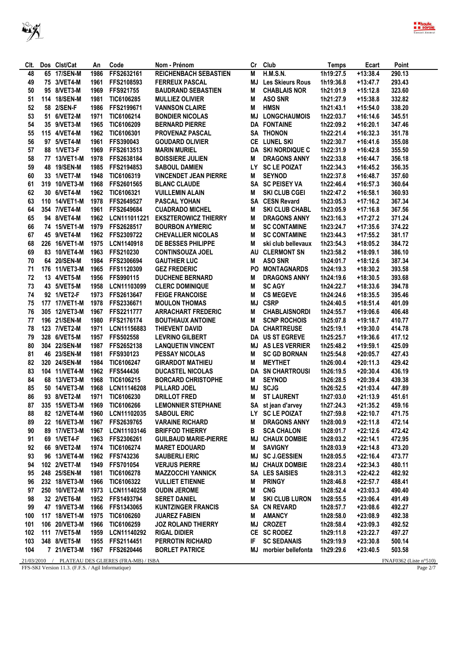

| CIt. | Dos Clst/Cat                                       | An   | Code                                             | Nom - Prénom                 |     | Cr Club                  | <b>Temps</b> | Ecart      | Point                     |
|------|----------------------------------------------------|------|--------------------------------------------------|------------------------------|-----|--------------------------|--------------|------------|---------------------------|
| 48   | 65 17/SEN-M                                        | 1986 | FFS2632161                                       | <b>REICHENBACH SEBASTIEN</b> | M   | <b>H.M.S.N.</b>          | 1h19:27.5    | $+13:38.4$ | 290.13                    |
| 49   | 75 3/VET4-M                                        | 1961 | FFS2108593                                       | <b>FERREUX PASCAL</b>        | MJ  | <b>Les Skieurs Rous</b>  | 1h19:36.8    | $+13:47.7$ | 293.43                    |
| 50   | 95 8/VET3-M                                        | 1969 | FFS921755                                        | <b>BAUDRAND SEBASTIEN</b>    | M   | <b>CHABLAIS NOR</b>      | 1h21:01.9    | $+15:12.8$ | 323.60                    |
| 51   | 114 18/SEN-M                                       | 1981 | TIC6106285                                       | <b>MULLIEZ OLIVIER</b>       | M   | <b>ASO SNR</b>           | 1h21:27.9    | $+15:38.8$ | 332.82                    |
| 52   | 58 2/SEN-F                                         | 1986 | FFS2199671                                       | <b>VANNSON CLAIRE</b>        | М   | <b>HMSN</b>              | 1h21:43.1    | $+15:54.0$ | 338.20                    |
| 53   | 51 6/VET2-M                                        | 1971 | TIC6106214                                       | <b>BONDIER NICOLAS</b>       | MJ  | <b>LONGCHAUMOIS</b>      | 1h22:03.7    | $+16:14.6$ | 345.51                    |
| 54   | 35 9/VET3-M                                        | 1965 | TIC6106209                                       | <b>BERNARD PIERRE</b>        |     | <b>DA FONTAINE</b>       | 1h22:09.2    | $+16:20.1$ | 347.46                    |
| 55   | 115 4/VET4-M                                       | 1962 | TIC6106301                                       | <b>PROVENAZ PASCAL</b>       |     | <b>SA THONON</b>         | 1h22:21.4    | $+16:32.3$ | 351.78                    |
| 56   | 97 5/VET4-M                                        | 1961 | FFS390043                                        | <b>GOUDARD OLIVIER</b>       | CE  | <b>LUNEL SKI</b>         | 1h22:30.7    | $+16:41.6$ | 355.08                    |
| 57   | 88 1/VET3-F                                        | 1969 | FFS2613513                                       | <b>MARIN MURIEL</b>          |     | <b>DA SKI NORDIQUE C</b> | 1h22:31.9    | $+16:42.8$ | 355.50                    |
| 58   | 77 13/VET1-M                                       | 1978 | FFS2638184                                       | <b>BOISSIERE JULIEN</b>      | M   | <b>DRAGONS ANNY</b>      | 1h22:33.8    | $+16:44.7$ | 356.18                    |
| 59   | 48 19/SEN-M                                        | 1985 | FFS2194853                                       | <b>SABOUL DAMIEN</b>         | LY. | <b>SC LE POIZAT</b>      | 1h22:34.3    | $+16:45.2$ | 356.35                    |
| 60   | 33 1/VET7-M                                        | 1948 | TIC6106319                                       | <b>VINCENDET JEAN PIERRE</b> | М   | <b>SEYNOD</b>            | 1h22:37.8    | $+16:48.7$ | 357.60                    |
| 61   | 319 10/VET3-M                                      | 1968 | FFS2601565                                       | <b>BLANC CLAUDE</b>          |     | SA SC PEISEY VA          | 1h22:46.4    | $+16:57.3$ | 360.64                    |
| 62   | 30 6/VET4-M                                        | 1962 | TIC6106321                                       | <b>VUILLEMIN ALAIN</b>       | M   | <b>SKI CLUB CGEI</b>     | 1h22:47.2    | $+16:58.1$ | 360.93                    |
| 63   | 110 14/VET1-M                                      | 1978 | FFS2649527                                       | <b>PASCAL YOHAN</b>          |     | SA CESN Revard           | 1h23:05.3    | $+17:16.2$ | 367.34                    |
| 64   | 354 7/VET4-M                                       | 1961 | FFS2649684                                       | <b>CUADRADO MICHEL</b>       | M   | <b>SKI CLUB CHABL</b>    | 1h23:05.9    | $+17:16.8$ | 367.56                    |
| 65   | 94 8/VET4-M                                        | 1962 | LCN111011221                                     | <b>EKSZTEROWICZ THIERRY</b>  | М   | <b>DRAGONS ANNY</b>      | 1h23:16.3    | $+17:27.2$ | 371.24                    |
| 66   | 74 15/VET1-M                                       | 1979 | FFS2628517                                       | <b>BOURBON AYMERIC</b>       | М   | <b>SC CONTAMINE</b>      | 1h23:24.7    | $+17:35.6$ | 374.22                    |
| 67   | 45 9/VET4-M                                        | 1962 | FFS2309722                                       | <b>CHEVALLIER NICOLAS</b>    | М   | <b>SC CONTAMINE</b>      | 1h23:44.3    | $+17:55.2$ | 381.17                    |
| 68   | 226 16/VET1-M                                      | 1975 | LCN1140918                                       | DE BESSES PHILIPPE           | M   | ski club bellevaux       | 1h23:54.3    | $+18:05.2$ | 384.72                    |
| 69   | 83 10/VET4-M                                       | 1963 | FFS210230                                        | <b>CONTINSOUZA JOEL</b>      |     | AU CLERMONT SN           | 1h23:58.2    | $+18:09.1$ | 386.10                    |
| 70   | 64 20/SEN-M                                        | 1984 | FFS2306694                                       | <b>GAUTHIER LUC</b>          | M   | <b>ASO SNR</b>           | 1h24:01.7    | $+18:12.6$ | 387.34                    |
| 71   | 176 11/VET3-M                                      | 1965 | FFS1120309                                       | <b>GEZ FREDERIC</b>          | PO  | <b>MONTAGNARDS</b>       | 1h24:19.3    | $+18:30.2$ | 393.58                    |
| 72   | 13 4/VET5-M                                        | 1956 | FFS990115                                        | <b>DUCHENE BERNARD</b>       | М   | <b>DRAGONS ANNY</b>      | 1h24:19.6    | $+18:30.5$ | 393.68                    |
| 73   | 43 5/VET5-M                                        | 1958 | LCN11103099                                      | <b>CLERC DOMINIQUE</b>       | М   | <b>SC AGY</b>            | 1h24:22.7    | $+18:33.6$ | 394.78                    |
| 74   | 92 1/VET2-F                                        | 1973 | FFS2613647                                       | <b>FEIGE FRANCOISE</b>       | M   | <b>CS MEGEVE</b>         | 1h24:24.6    | $+18:35.5$ | 395.46                    |
| 75   | 177 17/VET1-M                                      | 1978 | FFS2336671                                       | <b>MOULON THOMAS</b>         | ΜJ  | <b>CSRP</b>              | 1h24:40.5    | $+18:51.4$ | 401.09                    |
| 76   | 305 12/VET3-M                                      | 1967 | FFS2211777                                       | <b>ARRACHART FREDERIC</b>    | M   | <b>CHABLAISNORDI</b>     | 1h24:55.7    | $+19:06.6$ | 406.48                    |
| 77   | 196 21/SEN-M                                       | 1980 | FFS2176174                                       | <b>BOUTHIAUX ANTOINE</b>     | Μ   | <b>SCNP ROCHOIS</b>      | 1h25:07.8    | +19:18.7   | 410.77                    |
| 78   | 123 7/VET2-M                                       | 1971 | LCN11156883                                      | THIEVENT DAVID               |     | <b>DA CHARTREUSE</b>     | 1h25:19.1    | $+19:30.0$ | 414.78                    |
| 79   | 328 6/VET5-M                                       | 1957 | <b>FFS502558</b>                                 | <b>LEVRINO GILBERT</b>       |     | DA US ST EGREVE          | 1h25:25.7    | $+19:36.6$ | 417.12                    |
| 80   | 304 22/SEN-M                                       | 1987 | FFS2652138                                       | <b>LANQUETIN VINCENT</b>     | MJ  | <b>AS LES VERRIER</b>    | 1h25:48.2    | $+19:59.1$ | 425.09                    |
| 81   | 46 23/SEN-M                                        | 1981 | FFS930123                                        | <b>PESSAY NICOLAS</b>        | M   | <b>SC GD BORNAN</b>      | 1h25:54.8    | $+20:05.7$ | 427.43                    |
| 82   | 320 24/SEN-M                                       | 1984 | TIC6106247                                       | <b>GIRARDOT MATHIEU</b>      | M   | <b>MEYTHET</b>           | 1h26:00.4    | $+20:11.3$ | 429.42                    |
| 83   | 104 11/VET4-M                                      | 1962 | FFS544436                                        | <b>DUCASTEL NICOLAS</b>      | DA  | <b>SN CHARTROUSI</b>     | 1h26:19.5    | $+20:30.4$ | 436.19                    |
| 84   | 68 13/VET3-M                                       | 1968 | TIC6106215                                       | <b>BORCARD CHRISTOPHE</b>    | M   | <b>SEYNOD</b>            | 1h26:28.5    | $+20:39.4$ | 439.38                    |
| 85   | 50 14/VET3-M                                       | 1968 | LCN11146208                                      | PILLARD JOEL                 | MJ  | <b>SCJG</b>              | 1h26:52.5    | $+21:03.4$ | 447.89                    |
| 86   | 93 8/VET2-M                                        | 1971 | TIC6106230                                       | <b>DRILLOT FRED</b>          | M   | <b>ST LAURENT</b>        | 1h27:03.0    | $+21:13.9$ | 451.61                    |
| 87   | 335 15/VET3-M                                      | 1969 | TIC6106266                                       | <b>LEMONNIER STEPHANE</b>    |     | SA st jean d'arvey       | 1h27:24.3    | $+21:35.2$ | 459.16                    |
| 88   | 82 12/VET4-M                                       | 1960 | LCN11102035                                      | <b>SABOUL ERIC</b>           |     | LY SC LE POIZAT          | 1h27:59.8    | $+22:10.7$ | 471.75                    |
| 89   | 22 16/VET3-M                                       | 1967 | FFS2639765                                       | <b>VARAINE RICHARD</b>       | М   | <b>DRAGONS ANNY</b>      | 1h28:00.9    | $+22:11.8$ | 472.14                    |
| 90   | 89 17/VET3-M                                       | 1967 | LCN11103146                                      | <b>BRIFFOD THIERRY</b>       | В   | <b>SCA CHALON</b>        | 1h28:01.7    | $+22:12.6$ | 472.42                    |
| 91   | 69 1/VET4-F                                        | 1963 | FFS2306261                                       | <b>GUILBAUD MARIE-PIERRE</b> |     | <b>MJ CHAUX DOMBIE</b>   | 1h28:03.2    | $+22:14.1$ | 472.95                    |
| 92   | 66 9/VET2-M                                        | 1974 | TIC6106274                                       | <b>MARET EDOUARD</b>         | M   | <b>SAVIGNY</b>           | 1h28:03.9    | $+22:14.8$ | 473.20                    |
| 93   | 96 13/VET4-M                                       | 1962 | FFS743236                                        | <b>SAUBERLI ERIC</b>         | MJ  | <b>SC J.GESSIEN</b>      | 1h28:05.5    | $+22:16.4$ | 473.77                    |
| 94   | 102 2/VET7-M                                       | 1949 | FFS701054                                        | <b>VERJUS PIERRE</b>         |     | <b>MJ CHAUX DOMBIE</b>   | 1h28:23.4    | $+22:34.3$ | 480.11                    |
| 95   | 248 25/SEN-M                                       | 1981 | TIC6106278                                       | <b>MAZZOCCHI YANNICK</b>     |     | SA LES SAISIES           | 1h28:31.3    | $+22:42.2$ | 482.92                    |
| 96   | 232 18/VET3-M                                      | 1966 | TIC6106322                                       | <b>VULLIET ETIENNE</b>       | M   | <b>PRINGY</b>            | 1h28:46.8    | $+22:57.7$ | 488.41                    |
| 97   | 250 10/VET2-M                                      | 1973 | LCN11140258                                      | <b>OUDIN JEROME</b>          | M   | <b>CNG</b>               | 1h28:52.4    | $+23:03.3$ | 490.40                    |
| 98   | 32 2/VET6-M                                        | 1952 | FFS1493794                                       | <b>SERET DANIEL</b>          | M   | <b>SKI CLUB LURON</b>    | 1h28:55.5    | $+23:06.4$ | 491.49                    |
| 99   | 47 19/VET3-M                                       | 1966 | FFS1343065                                       | <b>KUNTZINGER FRANCIS</b>    |     | SA CN REVARD             | 1h28:57.7    | $+23:08.6$ | 492.27                    |
| 100  | 117 18/VET1-M                                      | 1975 | TIC6106260                                       | <b>JUAREZ FABIEN</b>         | M   | <b>AMANCY</b>            | 1h28:58.0    | $+23:08.9$ | 492.38                    |
| 101  | 106 20/VET3-M                                      | 1966 | TIC6106259                                       | <b>JOZ ROLAND THIERRY</b>    |     | <b>MJ CROZET</b>         | 1h28:58.4    | $+23:09.3$ | 492.52                    |
| 102  | 111 7/VET5-M                                       | 1959 | LCN11140292                                      | <b>RIGAL DIDIER</b>          |     | CE SC RODEZ              | 1h29:11.8    | $+23:22.7$ | 497.27                    |
| 103  | 348 8/VET5-M                                       | 1955 | FFS2114451                                       | PERROTIN RICHARD             | IF  | <b>SC SEDANAIS</b>       | 1h29:19.9    | $+23:30.8$ | 500.14                    |
| 104  | 7 21/VET3-M                                        | 1967 | FFS2620446                                       | <b>BORLET PATRICE</b>        | MJ  | morbier bellefonta       | 1h29:29.6    | +23:40.5   | 503.58                    |
|      |                                                    |      | 21/03/2010 / PLATEAU DES GLIERES (FRA-MB) / ISBA |                              |     |                          |              |            | FNAF0362 (Liste $n°510$ ) |
|      | FFS-SKI Version 11.3. (F.F.S. / Agil Informatique) |      |                                                  |                              |     |                          |              |            | Page 2/7                  |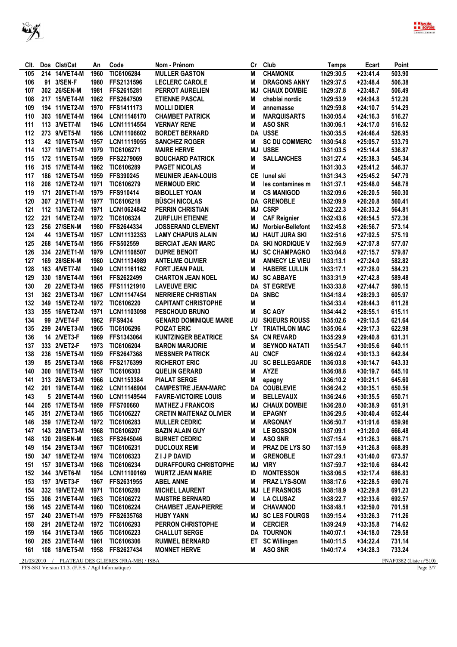

| CIt.       | Dos Clst/Cat                                       | An   | Code                                  | Nom - Prénom                   | Cr        | Club                     | <b>Temps</b> | Ecart      | Point                     |
|------------|----------------------------------------------------|------|---------------------------------------|--------------------------------|-----------|--------------------------|--------------|------------|---------------------------|
| 105        | 214 14/VET4-M                                      | 1960 | TIC6106284                            | <b>MULLER GASTON</b>           | M         | <b>CHAMONIX</b>          | 1h29:30.5    | $+23:41.4$ | 503.90                    |
| 106        | 91 3/SEN-F                                         | 1980 | FFS2131596                            | <b>LECLERC CAROLE</b>          | M         | <b>DRAGONS ANNY</b>      | 1h29:37.5    | $+23:48.4$ | 506.38                    |
| 107        | 302 26/SEN-M                                       | 1981 | FFS2615281                            | <b>PERROT AURELIEN</b>         | ΜJ        | <b>CHAUX DOMBIE</b>      | 1h29:37.8    | $+23:48.7$ | 506.49                    |
| 108        | 217 15/VET4-M                                      | 1962 | FFS2647509                            | <b>ETIENNE PASCAL</b>          | M         | chablai nordic           | 1h29:53.9    | $+24:04.8$ | 512.20                    |
| 109        | 194 11/VET2-M                                      | 1970 | FFS1411173                            | <b>MOLLI DIDIER</b>            | M         | annemasse                | 1h29:59.8    | $+24:10.7$ | 514.29                    |
| 110        | 303 16/VET4-M                                      | 1964 | LCN11146170                           | <b>CHAMBET PATRICK</b>         | M         | <b>MARQUISARTS</b>       | 1h30:05.4    | $+24:16.3$ | 516.27                    |
| 111        | 113 3/VET7-M                                       | 1946 | LCN11114554                           | <b>VERNAY RENE</b>             | M         | <b>ASO SNR</b>           | 1h30:06.1    | $+24:17.0$ | 516.52                    |
| 112        | 273 9/VET5-M                                       | 1956 | LCN11106602                           | <b>BORDET BERNARD</b>          | DA        | <b>USSE</b>              | 1h30:35.5    | $+24:46.4$ | 526.95                    |
| 113        | 42 10/VET5-M                                       | 1957 | LCN11119055                           | <b>SANCHEZ ROGER</b>           | М         | <b>SC DU COMMERC</b>     | 1h30:54.8    | $+25:05.7$ | 533.79                    |
| 114        | 137 19/VET1-M                                      | 1979 | TIC6106271                            | <b>MAIRE HERVE</b>             | <b>MJ</b> | <b>USBE</b>              | 1h31:03.5    | $+25:14.4$ | 536.87                    |
| 115        | 172 11/VET5-M                                      | 1959 | FFS2279069                            | <b>BOUCHARD PATRICK</b>        | M         | <b>SALLANCHES</b>        | 1h31:27.4    | $+25:38.3$ | 545.34                    |
| 116        | 315 17/VET4-M                                      | 1962 | TIC6106289                            | <b>PAGET NICOLAS</b>           | M         |                          | 1h31:30.3    | $+25:41.2$ | 546.37                    |
| 117        | 186 12/VET5-M                                      | 1959 | FFS390245                             | <b>MEUNIER JEAN-LOUIS</b>      | <b>CE</b> | lunel ski                | 1h31:34.3    | $+25:45.2$ | 547.79                    |
| 118        | 208 12/VET2-M                                      | 1971 | TIC6106279                            | <b>MERMOUD ERIC</b>            | M         | les contamines m         | 1h31:37.1    | $+25:48.0$ | 548.78                    |
| 119        | 171 20/VET1-M                                      | 1979 | FFS910414                             | <b>BIBOLLET YOAN</b>           | M         | <b>CS MANIGOD</b>        | 1h32:09.6    | $+26:20.5$ | 560.30                    |
| 120        | 307 21/VET1-M                                      | 1977 | TIC6106218                            | <b>BÜSCH NICOLAS</b>           | DA        | <b>GRENOBLE</b>          | 1h32:09.9    | $+26:20.8$ | 560.41                    |
| 121        | 112 13/VET2-M                                      | 1971 | LCN10624842                           | <b>PERRIN CHRISTIAN</b>        | MJ        | <b>CSRP</b>              | 1h32:22.3    | $+26:33.2$ | 564.81                    |
| 122        | 221 14/VET2-M                                      | 1972 | TIC6106324                            | <b>ZURFLUH ETIENNE</b>         | M         | <b>CAF Reignier</b>      | 1h32:43.6    | $+26:54.5$ | 572.36                    |
| 123        | 256 27/SEN-M                                       | 1980 | FFS2644334                            | <b>JOSSERAND CLEMENT</b>       | MJ        | <b>Morbier-Bellefont</b> | 1h32:45.8    | $+26:56.7$ | 573.14                    |
| 124        | 44 13/VET5-M                                       | 1957 | LCN11132353                           | <b>LAMY CHAPUIS ALAIN</b>      | MJ        | <b>HAUT JURA SKI</b>     | 1h32:51.6    | $+27:02.5$ | 575.19                    |
| 125        | 268 14/VET5-M                                      | 1956 | FFS502559                             | <b>BERCIAT JEAN MARC</b>       | DA        | <b>SKI NORDIQUE V</b>    | 1h32:56.9    | $+27:07.8$ | 577.07                    |
|            |                                                    |      |                                       |                                |           |                          |              |            |                           |
| 126        | 334 22/VET1-M                                      | 1979 | LCN11108507                           | <b>DUPRE BENOIT</b>            | MJ        | <b>SC CHAMPAGNO</b>      | 1h33:04.8    | $+27:15.7$ | 579.87                    |
| 127        | 169 28/SEN-M                                       | 1980 | LCN11134989                           | <b>ANTELME OLIVIER</b>         | М         | <b>ANNECY LE VIEU</b>    | 1h33:13.1    | $+27:24.0$ | 582.82                    |
| 128        | 163 4/VET7-M                                       | 1949 | LCN11161162                           | <b>FORT JEAN PAUL</b>          | M         | <b>HABERE LULLIN</b>     | 1h33:17.1    | $+27:28.0$ | 584.23                    |
| 129        | 330 18/VET4-M                                      | 1961 | FFS2622499                            | <b>CHARTON JEAN NOEL</b>       |           | <b>MJ SC ABBAYE</b>      | 1h33:31.9    | $+27:42.8$ | 589.48                    |
| 130        | 20 22/VET3-M                                       | 1965 | FFS11121910                           | <b>LAVEUVE ERIC</b>            |           | <b>DA ST EGREVE</b>      | 1h33:33.8    | $+27:44.7$ | 590.15                    |
| 131        | 362 23/VET3-M                                      | 1967 | LCN11147454                           | <b>NERRIERE CHRISTIAN</b>      |           | DA SNBC                  | 1h34:18.4    | $+28:29.3$ | 605.97                    |
| 132        | 349 15/VET2-M                                      | 1972 | TIC6106220                            | <b>CAPITANT CHRISTOPHE</b>     | M         |                          | 1h34:33.4    | $+28:44.3$ | 611.28                    |
| 133        | 355 16/VET2-M                                      | 1971 | LCN11103098                           | <b>PESCHOUD BRUNO</b>          | М         | <b>SC AGY</b>            | 1h34:44.2    | $+28:55.1$ | 615.11                    |
| 134        | 99 2/VET4-F                                        | 1962 | <b>FFS9434</b>                        | <b>GENARD DOMINIQUE MARIE</b>  | JU        | <b>SKIEURS ROUSS</b>     | 1h35:02.6    | $+29:13.5$ | 621.64                    |
| 135        | 299 24/VET3-M                                      | 1965 | TIC6106296                            | <b>POIZAT ERIC</b>             | <b>LY</b> | <b>TRIATHLON MAC</b>     | 1h35:06.4    | $+29:17.3$ | 622.98                    |
| 136        | 14 2/VET3-F                                        | 1969 | FFS1343064                            | <b>KUNTZINGER BEATRICE</b>     | SA        | <b>CN REVARD</b>         | 1h35:29.9    | $+29:40.8$ | 631.31                    |
| 137        | 333 2/VET2-F                                       | 1973 | TIC6106204                            | <b>BARON MARJORIE</b>          | M         | <b>SEYNOD NATATI</b>     | 1h35:54.7    | $+30:05.6$ | 640.11                    |
| 138        | 236 15/VET5-M                                      | 1959 | FFS2647368                            | <b>MESSNER PATRICK</b>         | AU        | <b>CNCF</b>              | 1h36:02.4    | $+30:13.3$ | 642.84                    |
| 139        | 85 25/VET3-M                                       | 1968 | FFS2176399                            | <b>RICHEROT ERIC</b>           | JU        | <b>SC BELLEGARDE</b>     | 1h36:03.8    | $+30:14.7$ | 643.33                    |
| 140        | 300 16/VET5-M                                      | 1957 | TIC6106303                            | <b>QUELIN GERARD</b>           | M         | <b>AYZE</b>              | 1h36:08.8    | $+30:19.7$ | 645.10                    |
| 141        | 313 26/VET3-M                                      | 1966 | LCN1153384                            | <b>PIALAT SERGE</b>            | M         | epagny                   | 1h36:10.2    | $+30:21.1$ | 645.60                    |
| 142        | 201 19/VET4-M                                      | 1962 | LCN11146904                           | <b>CAMPESTRE JEAN-MARC</b>     |           | DA COUBLEVIE             | 1h36:24.2    | $+30:35.1$ | 650.56                    |
| 143        | 5 20/VET4-M                                        | 1960 | LCN11149544                           | <b>FAVRE-VICTOIRE LOUIS</b>    | M         | <b>BELLEVAUX</b>         | 1h36:24.6    | $+30:35.5$ | 650.71                    |
| 144        | 205 17/VET5-M                                      | 1959 | FFS700660                             | <b>MATHEZ J FRANCOIS</b>       |           | <b>MJ CHAUX DOMBIE</b>   | 1h36:28.0    | +30:38.9   | 651.91                    |
| 145        | 351 27/VET3-M                                      |      | 1965 TIC6106227                       | <b>CRETIN MAITENAZ OLIVIER</b> | M         | <b>EPAGNY</b>            | 1h36:29.5    | $+30:40.4$ | 652.44                    |
| 146        | 359 17/VET2-M                                      | 1972 | TIC6106283                            | <b>MULLER CEDRIC</b>           | M         | <b>ARGONAY</b>           | 1h36:50.7    | $+31:01.6$ | 659.96                    |
| 147        | 143 28/VET3-M                                      | 1968 | TIC6106207                            | <b>BAZIN ALAIN GUY</b>         | M         | LE BOSSON                | 1h37:09.1    | $+31:20.0$ | 666.48                    |
| 148        | 120 29/SEN-M                                       | 1983 | FFS2645046                            | <b>BURNET CEDRIC</b>           | M         | <b>ASO SNR</b>           | 1h37:15.4    | $+31:26.3$ | 668.71                    |
| 149        | 154 29/VET3-M                                      | 1967 | TIC6106231                            | <b>DUCLOUX REMI</b>            | М         | PRAZ DE LYS SO           | 1h37:15.9    | $+31:26.8$ | 668.89                    |
| 150        | 347 18/VET2-M                                      | 1974 | TIC6106323                            | Z I J P DAVID                  | M         | <b>GRENOBLE</b>          | 1h37:29.1    | $+31:40.0$ | 673.57                    |
| 151        | 157 30/VET3-M                                      | 1968 | TIC6106234                            | <b>DURAFFOURG CHRISTOPHE</b>   | MJ        | <b>VIRY</b>              | 1h37:59.7    | $+32:10.6$ | 684.42                    |
| 152        | 344 3/VET6-M                                       | 1954 | LCN11100169                           | <b>WURTZ JEAN MARIE</b>        | ID        | <b>MONTESSON</b>         | 1h38:06.5    | $+32:17.4$ | 686.83                    |
| 153        | 197 3/VET3-F                                       | 1967 | FFS2631955                            | <b>ABEL ANNE</b>               | M         | <b>PRAZ LYS-SOM</b>      | 1h38:17.6    | $+32:28.5$ | 690.76                    |
| 154        | 332 19/VET2-M                                      | 1971 | TIC6106280                            | <b>MICHEL LAURENT</b>          |           | <b>MJ LE FRASNOIS</b>    | 1h38:18.9    | $+32:29.8$ | 691.23                    |
| 155        | 306 21/VET4-M                                      | 1963 | TIC6106272                            | <b>MAISTRE BERNARD</b>         | M         | <b>LA CLUSAZ</b>         | 1h38:22.7    | $+32:33.6$ | 692.57                    |
| 156        | 145 22/VET4-M                                      | 1960 | TIC6106224                            | <b>CHAMBET JEAN-PIERRE</b>     | M         | <b>CHAVANOD</b>          | 1h38:48.1    | $+32:59.0$ | 701.58                    |
| 157        | 240 23/VET1-M                                      | 1979 | FFS2635768                            | <b>HUBY YANN</b>               | MJ        | <b>SC LES FOURGS</b>     | 1h39:15.4    | $+33:26.3$ | 711.26                    |
| 158        | 291 20/VET2-M                                      | 1972 | TIC6106293                            | <b>PERRON CHRISTOPHE</b>       | M         | <b>CERCIER</b>           | 1h39:24.9    | $+33:35.8$ | 714.62                    |
| 159        | 164 31/VET3-M                                      | 1965 | TIC6106223                            | <b>CHALLUT SERGE</b>           |           | <b>DA TOURNON</b>        | 1h40:07.1    | $+34:18.0$ | 729.58                    |
| 160        | 265 23/VET4-M                                      | 1961 | TIC6106306                            | <b>RUMMEL BERNARD</b>          | ET        | <b>SC Willingen</b>      | 1h40:11.5    | $+34:22.4$ | 731.14                    |
| 161        | 108 18/VET5-M                                      | 1958 | FFS2627434                            | <b>MONNET HERVE</b>            | M         | <b>ASO SNR</b>           | 1h40:17.4    | $+34:28.3$ | 733.24                    |
|            |                                                    |      |                                       |                                |           |                          |              |            |                           |
| 21/03/2010 |                                                    |      | / PLATEAU DES GLIERES (FRA-MB) / ISBA |                                |           |                          |              |            | FNAF0362 (Liste $n°510$ ) |
|            | FFS-SKI Version 11.3. (F.F.S. / Agil Informatique) |      |                                       |                                |           |                          |              |            | Page 3/7                  |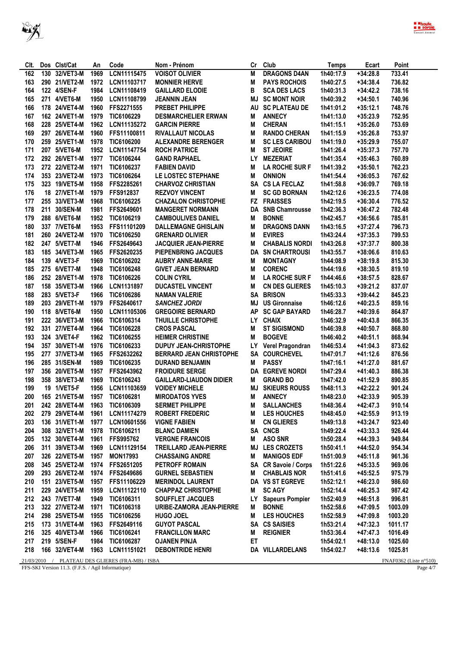

| CIt. |     | Dos Clst/Cat     | An   | Code                                              | Nom - Prénom                   | Cr        | Club                    | Temps     | Ecart      | Point                    |
|------|-----|------------------|------|---------------------------------------------------|--------------------------------|-----------|-------------------------|-----------|------------|--------------------------|
| 162  | 130 | 32/VET3-M        | 1969 | LCN11115475                                       | <b>VOISOT OLIVIER</b>          | M         | <b>DRAGONS D4AN</b>     | 1h40:17.9 | $+34:28.8$ | 733.41                   |
| 163  |     | 290 21/VET2-M    | 1972 | LCN11103717                                       | <b>MONNIER HERVE</b>           | М         | <b>PAYS ROCHOIS</b>     | 1h40:27.5 | $+34:38.4$ | 736.82                   |
| 164  |     | 122 4/SEN-F      | 1984 | LCN11108419                                       | <b>GAILLARD ELODIE</b>         | В         | <b>SCA DES LACS</b>     | 1h40:31.3 | $+34:42.2$ | 738.16                   |
| 165  |     | 271 4/VET6-M     | 1950 | LCN11108799                                       | <b>JEANNIN JEAN</b>            | MJ        | <b>SC MONT NOIR</b>     | 1h40:39.2 | $+34:50.1$ | 740.96                   |
| 166  |     | 178 24/VET4-M    | 1960 | FFS2271555                                        | PREBET PHILIPPE                |           | AU SC PLATEAU DE        | 1h41:01.2 | $+35:12.1$ | 748.76                   |
| 167  |     | 162 24/VET1-M    | 1979 | TIC6106229                                        | <b>DESMARCHELIER ERWAN</b>     | M         | <b>ANNECY</b>           | 1h41:13.0 | $+35:23.9$ | 752.95                   |
| 168  |     | 228 25/VET4-M    | 1962 | LCN11135272                                       | <b>GARCIN PIERRE</b>           | M         | <b>CHERAN</b>           | 1h41:15.1 | $+35:26.0$ | 753.69                   |
| 169  |     | 297 26/VET4-M    | 1960 | FFS11100811                                       | <b>RIVALLAUT NICOLAS</b>       | М         | <b>RANDO CHERAN</b>     | 1h41:15.9 | $+35:26.8$ | 753.97                   |
| 170  |     | 259 25/VET1-M    | 1978 | TIC6106200                                        | <b>ALEXANDRE BERENGER</b>      | M         | <b>SC LES CARIBOU</b>   | 1h41:19.0 | $+35:29.9$ | 755.07                   |
| 171  |     | 207 5/VET6-M     | 1952 | LCN11147754                                       | <b>ROCH PATRICE</b>            | M         | <b>ST JEOIRE</b>        | 1h41:26.4 | $+35:37.3$ | 757.70                   |
| 172  |     | 292 26/VET1-M    | 1977 | TIC6106244                                        | <b>GAND RAPHAEL</b>            | LY        | <b>MEZERIAT</b>         | 1h41:35.4 | $+35:46.3$ | 760.89                   |
| 173  |     | 272 22/VET2-M    | 1971 | TIC6106237                                        | <b>FABIEN DAVID</b>            | М         | <b>LA ROCHE SUR F</b>   | 1h41:39.2 | $+35:50.1$ | 762.23                   |
| 174  |     | 353 23/VET2-M    | 1973 | TIC6106264                                        | LE LOSTEC STEPHANE             | M         | <b>ONNION</b>           | 1h41:54.4 | $+36:05.3$ | 767.62                   |
| 175  |     | 323 19/VET5-M    | 1958 | FFS2285261                                        | <b>CHARVOZ CHRISTIAN</b>       |           | SA CS LA FECLAZ         | 1h41:58.8 | $+36:09.7$ | 769.18                   |
| 176  |     | 18 27/VET1-M     | 1979 | FFS912837                                         | <b>REZVOY VINCENT</b>          | Μ         | <b>SC GD BORNAN</b>     | 1h42:12.6 | $+36:23.5$ | 774.08                   |
| 177  |     | 255 33/VET3-M    | 1968 | TIC6106225                                        | <b>CHAZALON CHRISTOPHE</b>     |           | <b>FZ FRAISSES</b>      | 1h42:19.5 | $+36:30.4$ | 776.52                   |
| 178  | 211 | 30/SEN-M         | 1981 | FFS2649601                                        | <b>MANGERET NORMANN</b>        |           | DA SNB Chamrousse       | 1h42:36.3 | $+36:47.2$ | 782.48                   |
| 179  |     | 288 6/VET6-M     | 1952 | TIC6106219                                        | <b>CAMBOULIVES DANIEL</b>      | М         | <b>BONNE</b>            | 1h42:45.7 | $+36:56.6$ | 785.81                   |
| 180  |     | 337 7/VET6-M     | 1953 | FFS11101209                                       | <b>DALLEMAGNE GHISLAIN</b>     | М         | <b>DRAGONS DANN</b>     | 1h43:16.5 | $+37:27.4$ | 796.73                   |
| 181  |     | 260 24/VET2-M    | 1970 | TIC6106250                                        | <b>GRENARD OLIVIER</b>         | M         | <b>EVIRES</b>           | 1h43:24.4 | $+37:35.3$ | 799.53                   |
| 182  |     | 247 5/VET7-M     | 1946 | FFS2649643                                        | <b>JACQUIER JEAN-PIERRE</b>    | M         | <b>CHABALIS NORDI</b>   | 1h43:26.8 | $+37:37.7$ | 800.38                   |
| 183  |     | 185 34/VET3-M    | 1965 | FFS2620235                                        | PIEPENBRING JACQUES            |           | <b>DA SN CHARTROUSI</b> | 1h43:55.7 | $+38:06.6$ | 810.63                   |
| 184  |     | 139 4/VET3-F     | 1969 | TIC6106202                                        | <b>AUBRY ANNE-MARIE</b>        | М         | <b>MONTAGNY</b>         | 1h44:08.9 | $+38:19.8$ | 815.30                   |
| 185  |     | 275 6/VET7-M     | 1948 | TIC6106248                                        | <b>GIVET JEAN BERNARD</b>      | Μ         | <b>CORENC</b>           | 1h44:19.6 | $+38:30.5$ | 819.10                   |
| 186  |     | 252 28/VET1-M    | 1978 | TIC6106226                                        | <b>COLIN CYRIL</b>             | M         | <b>LA ROCHE SUR F</b>   | 1h44:46.6 | $+38:57.5$ | 828.67                   |
| 187  |     | 158 35/VET3-M    | 1966 | LCN1131897                                        | <b>DUCASTEL VINCENT</b>        | M         | <b>CN DES GLIERES</b>   | 1h45:10.3 | $+39:21.2$ | 837.07                   |
| 188  |     | 283 5/VET3-F     | 1966 | TIC6106286                                        | <b>NAMAN VALERIE</b>           |           | <b>SA BRISON</b>        | 1h45:33.3 | $+39:44.2$ | 845.23                   |
| 189  |     | 203 29/VET1-M    | 1979 | FFS2640617                                        | <b>SANCHEZ JORDI</b>           | ΜJ        | <b>US Gironnaise</b>    | 1h46:12.6 | $+40:23.5$ | 859.16                   |
| 190  |     | 118 8/VET6-M     | 1950 | LCN11105306                                       | <b>GREGOIRE BERNARD</b>        | <b>AP</b> | <b>SC GAP BAYARD</b>    | 1h46:28.7 | +40:39.6   | 864.87                   |
| 191  |     | 222 36/VET3-M    | 1966 | TIC6106314                                        | THUILLE CHRISTOPHE             |           | LY CHAIX                | 1h46:32.9 | $+40:43.8$ | 866.35                   |
| 192  | 331 | <b>27/VET4-M</b> | 1964 | TIC6106228                                        | <b>CROS PASCAL</b>             | M         | <b>ST SIGISMOND</b>     | 1h46:39.8 | $+40:50.7$ | 868.80                   |
| 193  |     | 324 3/VET4-F     | 1962 | TIC6106255                                        | <b>HEIMER CHRISTINE</b>        | M         | <b>BOGEVE</b>           | 1h46:40.2 | $+40:51.1$ | 868.94                   |
| 194  |     | 357 30/VET1-M    | 1976 | TIC6106233                                        | <b>DUPUY JEAN-CHRISTOPHE</b>   |           | LY Verel Pragondran     | 1h46:53.4 | $+41:04.3$ | 873.62                   |
| 195  |     | 277 37/VET3-M    | 1965 | FFS2632262                                        | <b>BERRARD JEAN CHRISTOPHE</b> |           | SA COURCHEVEL           | 1h47:01.7 | +41:12.6   | 876.56                   |
| 196  |     | 285 31/SEN-M     | 1989 | TIC6106235                                        | <b>DURAND BENJAMIN</b>         | Μ         | <b>PASSY</b>            | 1h47:16.1 | $+41:27.0$ | 881.67                   |
| 197  |     | 356 20/VET5-M    | 1957 | FFS2643962                                        | <b>FROIDURE SERGE</b>          |           | DA EGREVE NORDI         | 1h47:29.4 | +41:40.3   | 886.38                   |
| 198  | 358 | 38/VET3-M        | 1969 | TIC6106243                                        | <b>GAILLARD-LIAUDON DIDIER</b> | М         | <b>GRAND BO</b>         | 1h47:42.0 | $+41:52.9$ | 890.85                   |
| 199  |     | 19 1/VET5-F      | 1956 | LCN11103659                                       | <b>VOIDEY MICHELE</b>          | MJ        | <b>SKIEURS ROUSS</b>    | 1h48:11.3 | +42:22.2   | 901.24                   |
| 200  |     | 165 21/VET5-M    | 1957 | TIC6106281                                        | <b>MIRODATOS YVES</b>          | M         | <b>ANNECY</b>           | 1h48:23.0 | +42:33.9   | 905.39                   |
| 201  |     | 242 28/VET4-M    | 1963 | TIC6106309                                        | <b>SERMET PHILIPPE</b>         | M         | <b>SALLANCHES</b>       | 1h48:36.4 | +42:47.3   | 910.14                   |
| 202  |     | 279 29/VET4-M    | 1961 | LCN11174279                                       | <b>ROBERT FREDERIC</b>         | M         | <b>LES HOUCHES</b>      | 1h48:45.0 | $+42:55.9$ | 913.19                   |
| 203  |     | 136 31/VET1-M    | 1977 | LCN10601556                                       | <b>VIGNE FABIEN</b>            | M         | <b>CN GLIERES</b>       | 1h49:13.8 | +43:24.7   | 923.40                   |
| 204  |     | 308 32/VET1-M    | 1978 | TIC6106211                                        | <b>BLANC DAMIEN</b>            |           | SA CNCB                 | 1h49:22.4 | $+43:33.3$ | 926.44                   |
| 205  |     | 132 30/VET4-M    | 1961 | FFS995762                                         | <b>VERGNE FRANCOIS</b>         | M         | <b>ASO SNR</b>          | 1h50:28.4 | $+44:39.3$ | 949.84                   |
| 206  |     | 311 39/VET3-M    | 1969 | LCN11129154                                       | <b>TREILLARD JEAN-PIERRE</b>   |           | <b>MJ LES CROZETS</b>   | 1h50:41.1 | $+44:52.0$ | 954.34                   |
| 207  |     | 326 22/VET5-M    | 1957 | <b>MON17993</b>                                   | <b>CHASSAING ANDRE</b>         | Μ         | <b>MANIGOS EDF</b>      | 1h51:00.9 | +45:11.8   | 961.36                   |
| 208  |     | 345 25/VET2-M    | 1974 | FFS2651205                                        | PETROFF ROMAIN                 |           | SA CR Savoie / Corps    | 1h51:22.6 | +45:33.5   | 969.06                   |
| 209  |     | 293 26/VET2-M    |      | 1974 FFS2649686                                   | <b>GURNEL SEBASTIEN</b>        | M         | <b>CHABLAIS NOR</b>     | 1h51:41.6 | $+45:52.5$ | 975.79                   |
| 210  |     | 151 23/VET5-M    | 1957 | FFS11106229                                       | <b>MERINDOL LAURENT</b>        |           | DA VS ST EGREVE         | 1h52:12.1 | +46:23.0   | 986.60                   |
| 211  |     | 229 24/VET5-M    | 1959 | LCN11122110                                       | <b>CHAPPAZ CHRISTOPHE</b>      | M         | <b>SC AGY</b>           | 1h52:14.4 | $+46:25.3$ | 987.42                   |
| 212  |     | 243 7/VET7-M     | 1949 | TIC6106311                                        | <b>SOUFFLET JACQUES</b>        |           | LY Sapeurs Pompier      | 1h52:40.9 | $+46:51.8$ | 996.81                   |
| 213  |     | 322 27/VET2-M    | 1971 | TIC6106318                                        | URIBE-ZAMORA JEAN-PIERRE       | M         | <b>BONNE</b>            | 1h52:58.6 | +47:09.5   | 1003.09                  |
| 214  |     | 298 25/VET5-M    | 1955 | TIC6106256                                        | <b>HUGO JOEL</b>               | Μ         | <b>LES HOUCHES</b>      | 1h52:58.9 | +47:09.8   | 1003.20                  |
| 215  |     | 173 31/VET4-M    | 1963 | FFS2649116                                        | <b>GUYOT PASCAL</b>            |           | SA CS SAISIES           | 1h53:21.4 | +47:32.3   | 1011.17                  |
| 216  |     | 325 40/VET3-M    | 1966 | TIC6106241                                        | <b>FRANCILLON MARC</b>         | M         | <b>REIGNIER</b>         | 1h53:36.4 | +47:47.3   | 1016.49                  |
| 217  |     | 219 5/SEN-F      | 1984 | TIC6106287                                        | <b>OJANEN PINJA</b>            | ET        |                         | 1h54:02.1 | +48:13.0   | 1025.60                  |
| 218  |     | 166 32/VET4-M    | 1963 | LCN11151021                                       | <b>DEBONTRIDE HENRI</b>        |           | DA VILLARDELANS         | 1h54:02.7 | +48:13.6   | 1025.81                  |
|      |     |                  |      | $21/03/2010$ / PLATEAU DES GUERES (ERA MB) / ISBA |                                |           |                         |           |            | $ENAP0362$ (Liste n°510) |

**ENGRATORY PEATLEAC DES GEIERES (TRANSPERSED)** 

 $\frac{12.167}{\text{Page }4/7}$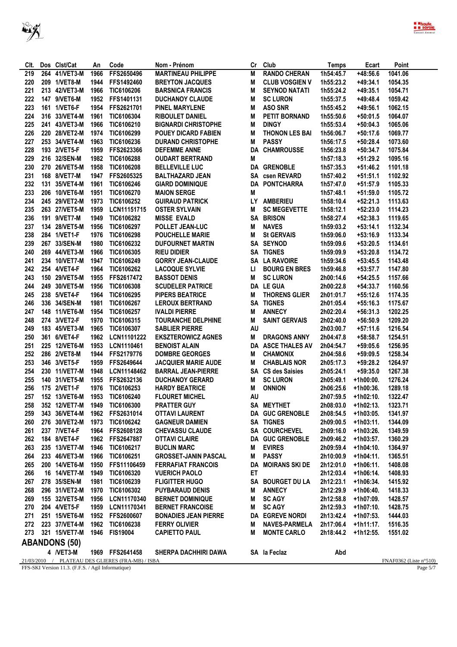



| CIt. | Dos Clst/Cat         | An   | Code                                             | Nom - Prénom                | Cr | Club                     | <b>Temps</b> | Ecart       | Point                            |
|------|----------------------|------|--------------------------------------------------|-----------------------------|----|--------------------------|--------------|-------------|----------------------------------|
| 219  | 264 41/VET3-M        | 1966 | FFS2650496                                       | <b>MARTINEAU PHILIPPE</b>   | М  | <b>RANDO CHERAN</b>      | 1h54:45.7    | +48:56.6    | 1041.06                          |
| 220  | 209 1/VET8-M         | 1944 | FFS1492460                                       | <b>BREYTON JACQUES</b>      | M  | <b>CLUB VOSGIEN V</b>    | 1h55:23.2    | +49:34.1    | 1054.35                          |
| 221  | 213 42/VET3-M        | 1966 | TIC6106206                                       | <b>BARSNICA FRANCIS</b>     | М  | <b>SEYNOD NATATI</b>     | 1h55:24.2    | $+49:35.1$  | 1054.71                          |
| 222  | 147 9/VET6-M         | 1952 | FFS1401131                                       | <b>DUCHANOY CLAUDE</b>      | M  | <b>SC LURON</b>          | 1h55:37.5    | $+49:48.4$  | 1059.42                          |
| 223  | 161 1/VET6-F         | 1954 | FFS2621701                                       | <b>PINEL MARYLENE</b>       | M  | <b>ASO SNR</b>           | 1h55:45.2    | $+49:56.1$  | 1062.15                          |
| 224  | 316 33/VET4-M        | 1961 | TIC6106304                                       | <b>RIBOULET DANIEL</b>      | M  | PETIT BORNAND            | 1h55:50.6    | $+50:01.5$  | 1064.07                          |
| 225  | 241 43/VET3-M        | 1966 | TIC6106210                                       | <b>BIGNARDI CHRISTOPHE</b>  | M  | <b>DINGY</b>             | 1h55:53.4    | $+50:04.3$  | 1065.06                          |
| 226  | 220 28/VET2-M        | 1974 | TIC6106299                                       | <b>POUEY DICARD FABIEN</b>  | M  | THONON LES BAI           | 1h56:06.7    | $+50:17.6$  | 1069.77                          |
| 227  | 253 34/VET4-M        | 1963 | TIC6106236                                       | <b>DURAND CHRISTOPHE</b>    | М  | <b>PASSY</b>             | 1h56:17.5    | +50:28.4    | 1073.60                          |
| 228  | 193 2/VET5-F         | 1959 | FFS2623366                                       | <b>DEFEMME ANNE</b>         |    | <b>DA CHAMROUSSE</b>     | 1h56:23.8    | $+50:34.7$  | 1075.84                          |
| 229  | 216 32/SEN-M         | 1982 | TIC6106288                                       | <b>OUDART BERTRAND</b>      | Μ  |                          | 1h57:18.3    | $+51:29.2$  | 1095.16                          |
| 230  | 270 26/VET5-M        | 1958 | TIC6106208                                       | <b>BELLEVILLE LUC</b>       |    | <b>DA GRENOBLE</b>       | 1h57:35.3    | $+51:46.2$  | 1101.18                          |
|      |                      |      |                                                  |                             |    |                          |              |             |                                  |
| 231  | 168 8/VET7-M         | 1947 | FFS2605325                                       | <b>BALTHAZARD JEAN</b>      |    | SA csen REVARD           | 1h57:40.2    | $+51:51.1$  | 1102.92                          |
| 232  | 131 35/VET4-M        | 1961 | TIC6106246                                       | <b>GIARD DOMINIQUE</b>      |    | DA PONTCHARRA            | 1h57:47.0    | $+51:57.9$  | 1105.33                          |
| 233  | 206 10/VET6-M        | 1951 | TIC6106270                                       | <b>MAION SERGE</b>          | M  |                          | 1h57:48.1    | $+51:59.0$  | 1105.72                          |
| 234  | 245 29/VET2-M        | 1973 | TIC6106252                                       | <b>GUIRAUD PATRICK</b>      |    | LY AMBERIEU              | 1h58:10.4    | $+52:21.3$  | 1113.63                          |
| 235  | 263 27/VET5-M        | 1959 | LCN11151715                                      | <b>OSTER SYLVAIN</b>        | М  | <b>SC MEGEVETTE</b>      | 1h58:12.1    | $+52:23.0$  | 1114.23                          |
| 236  | 191 9/VET7-M         | 1949 | TIC6106282                                       | <b>MISSE EVALD</b>          | SA | <b>BRISON</b>            | 1h58:27.4    | $+52:38.3$  | 1119.65                          |
| 237  | 134 28/VET5-M        | 1956 | TIC6106297                                       | POLLET JEAN-LUC             | M  | <b>NAVES</b>             | 1h59:03.2    | $+53:14.1$  | 1132.34                          |
| 238  | 284 1/VET1-F         | 1976 | TIC6106298                                       | <b>POUCHELLE MARIE</b>      | М  | <b>St GERVAIS</b>        | 1h59:06.0    | $+53:16.9$  | 1133.34                          |
| 239  | 267 33/SEN-M         | 1980 | TIC6106232                                       | <b>DUFOURNET MARTIN</b>     |    | SA SEYNOD                | 1h59:09.6    | $+53:20.5$  | 1134.61                          |
| 240  | 269 44/VET3-M        | 1966 | TIC6106305                                       | <b>RIEU DIDIER</b>          |    | <b>SA TIGNES</b>         | 1h59:09.9    | $+53:20.8$  | 1134.72                          |
| 241  | 234 10/VET7-M        | 1947 | TIC6106249                                       | <b>GORRY JEAN-CLAUDE</b>    |    | <b>SA LA RAVOIRE</b>     | 1h59:34.6    | $+53:45.5$  | 1143.48                          |
| 242  | 254 4/VET4-F         | 1964 | TIC6106262                                       | <b>LACOQUE SYLVIE</b>       | Ц  | <b>BOURG EN BRES</b>     | 1h59:46.8    | $+53:57.7$  | 1147.80                          |
| 243  | 150 29/VET5-M        | 1955 | FFS2617472                                       | <b>BASSOT DENIS</b>         | Μ  | <b>SC LURON</b>          | 2h00:14.6    | $+54:25.5$  | 1157.66                          |
| 244  | 249 30/VET5-M        | 1956 | TIC6106308                                       | <b>SCUDELER PATRICE</b>     |    | <b>DA LE GUA</b>         | 2h00:22.8    | $+54:33.7$  | 1160.56                          |
| 245  | 238 5/VET4-F         | 1964 | TIC6106295                                       | <b>PIPERS BEATRICE</b>      | М  | <b>THORENS GLIER</b>     | 2h01:01.7    | $+55:12.6$  | 1174.35                          |
| 246  | 336 34/SEN-M         | 1981 | TIC6106267                                       | <b>LEROUX BERTRAND</b>      | SA | <b>TIGNES</b>            | 2h01:05.4    | $+55:16.3$  | 1175.67                          |
| 247  | 148 11/VET6-M        | 1954 | TIC6106257                                       | <b>IVALDI PIERRE</b>        | М  | <b>ANNECY</b>            | 2h02:20.4    | $+56:31.3$  | 1202.25                          |
| 248  | 274 3/VET2-F         | 1970 | TIC6106315                                       | <b>TOURANCHE DELPHINE</b>   | М  | <b>SAINT GERVAIS</b>     | 2h02:40.0    | $+56:50.9$  | 1209.20                          |
| 249  | 183 45/VET3-M        | 1965 | TIC6106307                                       | <b>SABLIER PIERRE</b>       | AU |                          | 2h03:00.7    | $+57:11.6$  | 1216.54                          |
| 250  | 361 6/VET4-F         | 1962 | LCN11101222                                      | <b>EKSZTEROWICZ AGNES</b>   | Μ  | <b>DRAGONS ANNY</b>      | 2h04:47.8    | $+58:58.7$  | 1254.51                          |
| 251  | 225 12/VET6-M        | 1953 | LCN1110461                                       | <b>BENOIST ALAIN</b>        |    | DA ASCE THALES AV        | 2h04:54.7    | $+59:05.6$  | 1256.95                          |
|      |                      |      |                                                  |                             |    |                          |              |             |                                  |
| 252  | 286 2/VET8-M         | 1944 | FFS2179776                                       | <b>DOMBRE GEORGES</b>       | M  | <b>CHAMONIX</b>          | 2h04:58.6    | $+59:09.5$  | 1258.34                          |
| 253  | 346 3/VET5-F         | 1959 | FFS2649644                                       | <b>JACQUIER MARIE AUDE</b>  | М  | <b>CHABLAIS NOR</b>      | 2h05:17.3    | $+59:28.2$  | 1264.97                          |
| 254  | 230 11/VET7-M        | 1948 | LCN11148462                                      | <b>BARRAL JEAN-PIERRE</b>   |    | <b>SA CS des Saisies</b> | 2h05:24.1    | $+59:35.0$  | 1267.38                          |
| 255  | 140 31/VET5-M        | 1955 | FFS2632136                                       | <b>DUCHANOY GERARD</b>      | M  | <b>SC LURON</b>          | 2h05:49.1    | $+1h00:00.$ | 1276.24                          |
| 256  | 175 2/VET1-F         | 1976 | TIC6106253                                       | <b>HARDY BEATRICE</b>       | M  | <b>ONNION</b>            | 2h06:25.6    | +1h00:36.   | 1289.18                          |
| 257  | 152 13/VET6-M        | 1953 | TIC6106240                                       | <b>FLOURET MICHEL</b>       | AU |                          | 2h07:59.5    | $+1h02:10.$ | 1322.47                          |
| 258  |                      |      | 352 12/VET7-M 1949 TIC6106300                    | PRATTER GUY                 |    | SA MEYTHET               | 2h08:03.0    | +1h02:13.   | 1323.71                          |
| 259  | 343 36/VET4-M        |      | 1962 FFS2631014                                  | <b>OTTAVI LAURENT</b>       |    | DA GUC GRENOBLE          | 2h08:54.5    | $+1h03:05.$ | 1341.97                          |
| 260  | 276 30/VET2-M        |      | 1973 TIC6106242                                  | <b>GAGNEUR DAMIEN</b>       |    | SA TIGNES                | 2h09:00.5    | $+1h03:11.$ | 1344.09                          |
| 261  | 237 7/VET4-F         |      | 1964 FFS2608128                                  | <b>CHEVASSU CLAUDE</b>      |    | SA COURCHEVEL            | 2h09:16.0    | +1h03:26.   | 1349.59                          |
| 262  | 184 8/VET4-F         |      | 1962 FFS2647887                                  | <b>OTTAVI CLAIRE</b>        |    | DA GUC GRENOBLE          | 2h09:46.2    | +1h03:57.   | 1360.29                          |
| 263  | 235 13/VET7-M        | 1946 | TIC6106217                                       | <b>BUCLIN MARC</b>          | M  | <b>EVIRES</b>            | 2h09:59.4    | $+1h04:10.$ | 1364.97                          |
| 264  | 233 46/VET3-M        | 1966 | TIC6106251                                       | <b>GROSSET-JANIN PASCAL</b> | M  | <b>PASSY</b>             | 2h10:00.9    | +1h04:11.   | 1365.51                          |
| 265  | 200 14/VET6-M        |      | 1950 FFS11106459                                 | <b>FERRAFIAT FRANCOIS</b>   |    | DA MOIRANS SKI DE        | 2h12:01.0    | $+1h06:11.$ | 1408.08                          |
| 266  | 16 14/VET7-M         |      | 1949 TIC6106320                                  | <b>VUERICH PAOLO</b>        | ET |                          | 2h12:03.4    | +1h06:14.   | 1408.93                          |
| 267  | 278 35/SEN-M         | 1981 | TIC6106239                                       | <b>FLIGITTER HUGO</b>       |    | SA BOURGET DU LA         | 2h12:23.1    | +1h06:34.   | 1415.92                          |
| 268  | 296 31/VET2-M        |      | 1970 TIC6106302                                  | <b>PUYBARAUD DENIS</b>      | М  | <b>ANNECY</b>            | 2h12:29.9    | +1h06:40.   | 1418.33                          |
| 269  | 155 32/VET5-M        | 1956 | LCN11170340                                      | <b>BERNET DOMINIQUE</b>     | M  | <b>SC AGY</b>            | 2h12:58.8    | +1h07:09.   | 1428.57                          |
| 270  | 204 4/VET5-F         |      | 1959 LCN11170341                                 | <b>BERNET FRANCOISE</b>     | M  | <b>SC AGY</b>            | 2h12:59.3    | +1h07:10.   | 1428.75                          |
| 271  | 251 15/VET6-M        |      | 1952 FFS2600607                                  | <b>BONADIES JEAN PIERRE</b> |    | DA EGREVE NORDI          | 2h13:42.4    | +1h07:53.   | 1444.03                          |
| 272  | 223 37/VET4-M        |      | 1962 TIC6106238                                  | <b>FERRY OLIVIER</b>        | M  | <b>NAVES-PARMELA</b>     | 2h17:06.4    | +1h11:17.   | 1516.35                          |
| 273  | 321 15/VET7-M        |      | 1946 FIS19004                                    | <b>CAPIETTO PAUL</b>        | M  | <b>MONTE CARLO</b>       | 2h18:44.2    | +1h12:55.   | 1551.02                          |
|      |                      |      |                                                  |                             |    |                          |              |             |                                  |
|      | <b>ABANDONS (50)</b> |      |                                                  |                             |    |                          |              |             |                                  |
|      | 4 /VET3-M            |      | 1969 FFS2641458                                  | SHERPA DACHHIRI DAWA        |    | SA la Feclaz             | Abd          |             |                                  |
|      |                      |      | 21/03/2010 / PLATEAU DES GLIERES (FRA-MB) / ISBA |                             |    |                          |              |             | FNAF0362 (Liste $n^{\circ}510$ ) |

FFS-SKI Version 11.3. (F.F.S. / Agil Informatique)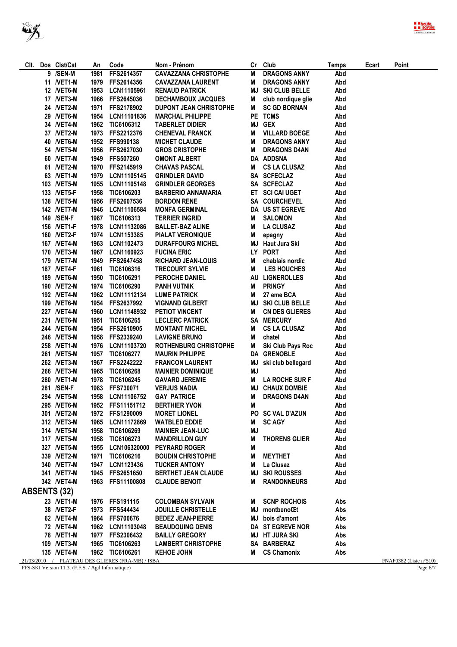| CIt. | Dos Clst/Cat        | An   | Code                                             | Nom - Prénom                    | Cr | Club                     | Temps | Ecart | Point                            |
|------|---------------------|------|--------------------------------------------------|---------------------------------|----|--------------------------|-------|-------|----------------------------------|
|      | 9 /SEN-M            | 1981 | FFS2614357                                       | <b>CAVAZZANA CHRISTOPHE</b>     | M  | <b>DRAGONS ANNY</b>      | Abd   |       |                                  |
|      | 11 /VET1-M          | 1979 | FFS2614356                                       | <b>CAVAZZANA LAURENT</b>        | M  | <b>DRAGONS ANNY</b>      | Abd   |       |                                  |
|      | 12 /VET6-M          | 1953 | LCN11105961                                      | <b>RENAUD PATRICK</b>           | MJ | SKI CLUB BELLE           | Abd   |       |                                  |
|      | 17 / VET3-M         | 1966 | FFS2645036                                       | DECHAMBOUX JACQUES              | M  | club nordique glie       | Abd   |       |                                  |
|      | 24 /VET2-M          | 1971 | FFS2178902                                       | <b>DUPONT JEAN CHRISTOPHE</b>   | M  | <b>SC GD BORNAN</b>      | Abd   |       |                                  |
|      | 29 /VET6-M          | 1954 | LCN11101836                                      | <b>MARCHAL PHILIPPE</b>         |    | PE TCMS                  | Abd   |       |                                  |
|      | 34 /VET4-M          | 1962 | TIC6106312                                       | <b>TABERLET DIDIER</b>          | MJ | <b>GEX</b>               | Abd   |       |                                  |
|      | 37 /VET2-M          | 1973 |                                                  | <b>CHENEVAL FRANCK</b>          | м  | <b>VILLARD BOEGE</b>     | Abd   |       |                                  |
|      |                     |      | FFS2212376                                       |                                 |    | <b>DRAGONS ANNY</b>      |       |       |                                  |
|      | 40 /VET6-M          | 1952 | FFS990138                                        | <b>MICHET CLAUDE</b>            | M  |                          | Abd   |       |                                  |
|      | 54 /VET5-M          | 1956 | FFS2627030                                       | <b>GROS CRISTOPHE</b>           | M  | <b>DRAGONS D4AN</b>      | Abd   |       |                                  |
|      | 60 /VET7-M          | 1949 | FFS507260                                        | <b>OMONT ALBERT</b>             |    | DA ADDSNA                | Abd   |       |                                  |
|      | 61 /VET2-M          | 1970 | FFS2145919                                       | <b>CHAVAS PASCAL</b>            | M  | <b>CS LA CLUSAZ</b>      | Abd   |       |                                  |
|      | 63 /VET1-M          | 1979 | LCN11105145                                      | <b>GRINDLER DAVID</b>           |    | SA SCFECLAZ              | Abd   |       |                                  |
|      | 103 /VET5-M         | 1955 | LCN11105148                                      | <b>GRINDLER GEORGES</b>         |    | SA SCFECLAZ              | Abd   |       |                                  |
|      | 133 / <b>NET5-F</b> | 1958 | TIC6106203                                       | <b>BARBERIO ANNAMARIA</b>       |    | ET SCI CAI UGET          | Abd   |       |                                  |
|      | 138 /VET5-M         | 1956 | FFS2607536                                       | <b>BORDON RENE</b>              |    | SA COURCHEVEL            | Abd   |       |                                  |
|      | 142 / VET7-M        | 1946 | LCN11106584                                      | <b>MONFA GERMINAL</b>           |    | DA US ST EGREVE          | Abd   |       |                                  |
|      | 149 /SEN-F          | 1987 | TIC6106313                                       | <b>TERRIER INGRID</b>           | M  | <b>SALOMON</b>           | Abd   |       |                                  |
|      | 156 / <b>NET1-F</b> | 1978 | LCN11132086                                      | <b>BALLET-BAZ ALINE</b>         | M  | <b>LA CLUSAZ</b>         | Abd   |       |                                  |
|      | 160 / NET2-F        | 1974 | <b>LCN1153385</b>                                | <b>PIALAT VERONIQUE</b>         | M  | epagny                   | Abd   |       |                                  |
|      | 167 / VET4-M        | 1963 | LCN1102473                                       | <b>DURAFFOURG MICHEL</b>        |    | MJ Haut Jura Ski         | Abd   |       |                                  |
|      | 170 /VET3-M         | 1967 | LCN1160923                                       | <b>FUCINA ERIC</b>              |    | LY PORT                  | Abd   |       |                                  |
|      |                     |      |                                                  |                                 |    |                          |       |       |                                  |
|      | 179 / VET7-M        | 1949 | FFS2647458                                       | <b>RICHARD JEAN-LOUIS</b>       | Μ  | chablais nordic          | Abd   |       |                                  |
|      | 187 / <b>NET4-F</b> | 1961 | TIC6106316                                       | <b>TRECOURT SYLVIE</b>          | М  | <b>LES HOUCHES</b>       | Abd   |       |                                  |
|      | 189 / VET6-M        | 1950 | TIC6106291                                       | <b>PEROCHE DANIEL</b>           |    | AU LIGNEROLLES           | Abd   |       |                                  |
|      | 190 /VET2-M         | 1974 | TIC6106290                                       | <b>PANH VUTNIK</b>              | M  | <b>PRINGY</b>            | Abd   |       |                                  |
|      | 192 / VET4-M        | 1962 | LCN11112134                                      | <b>LUME PATRICK</b>             | M  | 27 eme BCA               | Abd   |       |                                  |
|      | 199 /VET6-M         | 1954 | FFS2637992                                       | <b>VIGNAND GILBERT</b>          |    | <b>MJ SKI CLUB BELLE</b> | Abd   |       |                                  |
|      | 227 /VET4-M         | 1960 | LCN11148932                                      | PETIOT VINCENT                  | M  | <b>CN DES GLIERES</b>    | Abd   |       |                                  |
|      | 231 /VET6-M         | 1951 | TIC6106265                                       | <b>LECLERC PATRICK</b>          |    | <b>SA MERCURY</b>        | Abd   |       |                                  |
|      | 244 / VET6-M        | 1954 | FFS2610905                                       | <b>MONTANT MICHEL</b>           | Μ  | <b>CS LA CLUSAZ</b>      | Abd   |       |                                  |
|      | 246 / VET5-M        | 1958 | FFS2339240                                       | <b>LAVIGNE BRUNO</b>            | M  | chatel                   | Abd   |       |                                  |
|      | 258 /VET1-M         | 1976 | LCN11103720                                      | <b>ROTHENBURG CHRISTOPHE</b>    | M  | Ski Club Pays Roc        | Abd   |       |                                  |
|      | 261 /VET5-M         | 1957 | TIC6106277                                       | <b>MAURIN PHILIPPE</b>          |    | DA GRENOBLE              | Abd   |       |                                  |
|      | 262 / VET3-M        | 1967 | <b>FFS2242222</b>                                | <b>FRANCON LAURENT</b>          | MJ | ski club bellegard       | Abd   |       |                                  |
|      |                     |      |                                                  |                                 |    |                          |       |       |                                  |
|      | 266 /VET3-M         | 1965 | TIC6106268                                       | <b>MAINIER DOMINIQUE</b>        | MJ |                          | Abd   |       |                                  |
|      | 280 /VET1-M         | 1978 | TIC6106245                                       | <b>GAVARD JEREMIE</b>           | M  | <b>LA ROCHE SUR F</b>    | Abd   |       |                                  |
|      | 281 /SEN-F          | 1983 | FFS730071                                        | <b>VERJUS NADIA</b>             |    | <b>MJ CHAUX DOMBIE</b>   | Abd   |       |                                  |
|      | 294 /VET5-M         | 1958 | LCN11106752                                      | <b>GAY PATRICE</b>              | M  | <b>DRAGONS D4AN</b>      | Abd   |       |                                  |
|      | 295 /VET6-M         |      | 1952 FFS11151712                                 | <b>BERTHIER YVON</b>            | M  |                          | Abd   |       |                                  |
|      | 301 /VET2-M         |      | 1972 FFS1290009                                  | <b>MORET LIONEL</b>             |    | PO SC VAL D'AZUN         | Abd   |       |                                  |
|      | 312 /VET3-M         |      | 1965 LCN11172869                                 | <b>WATBLED EDDIE</b>            |    | M SCAGY                  | Abd   |       |                                  |
|      | 314 /VET5-M         |      | 1958 TIC6106269                                  | <b>MAINIER JEAN-LUC</b>         | MJ |                          | Abd   |       |                                  |
|      | 317 / VET5-M        |      | 1958 TIC6106273                                  | <b>MANDRILLON GUY</b>           | M  | <b>THORENS GLIER</b>     | Abd   |       |                                  |
|      | 327 /VET5-M         |      |                                                  | 1955 LCN106320000 PEYRARD ROGER | M  |                          | Abd   |       |                                  |
|      | 339 /VET2-M         |      | 1971 TIC6106216                                  | <b>BOUDIN CHRISTOPHE</b>        | M  | <b>MEYTHET</b>           | Abd   |       |                                  |
|      | 340 /VET7-M         |      | 1947 LCN1123436                                  | <b>TUCKER ANTONY</b>            | M  | La Clusaz                | Abd   |       |                                  |
|      | 341 /VET7-M         |      | 1945 FFS2651650                                  | <b>BERTHET JEAN CLAUDE</b>      |    | <b>MJ SKI ROUSSES</b>    | Abd   |       |                                  |
|      | 342 /VET4-M         |      | 1963 FFS11100808                                 |                                 |    |                          | Abd   |       |                                  |
|      |                     |      |                                                  | <b>CLAUDE BENOIT</b>            | M  | <b>RANDONNEURS</b>       |       |       |                                  |
|      | <b>ABSENTS (32)</b> |      |                                                  |                                 |    |                          |       |       |                                  |
|      | 23 /VET1-M          |      | 1976 FFS191115                                   | <b>COLOMBAN SYLVAIN</b>         |    | M SCNP ROCHOIS           | Abs   |       |                                  |
|      | 38 /VET2-F          |      | 1973 FFS544434                                   | <b>JOUILLE CHRISTELLE</b>       |    | MJ montbenoCEt           | Abs   |       |                                  |
|      | 62 / VET4-M         |      | 1964 FFS700676                                   | <b>BEDEZ JEAN-PIERRE</b>        |    | MJ bois d'amont          | Abs   |       |                                  |
|      | 72 / VET4-M         |      | 1962 LCN11103048                                 | <b>BEAUDOUING DENIS</b>         |    | DA ST EGREVE NOR         | Abs   |       |                                  |
|      | 78 / VET1-M         |      | 1977 FFS2306432                                  | <b>BAILLY GREGORY</b>           |    | MJ HT JURA SKI           | Abs   |       |                                  |
|      | 109 / VET3-M        |      | 1965 TIC6106263                                  | <b>LAMBERT CHRISTOPHE</b>       |    | <b>SA BARBERAZ</b>       | Abs   |       |                                  |
|      | 135 /VET4-M         |      | 1962 TIC6106261                                  | <b>KEHOE JOHN</b>               |    | M CS Chamonix            | Abs   |       |                                  |
|      |                     |      | 21/03/2010 / PLATEAU DES GLIERES (FRA-MB) / ISBA |                                 |    |                          |       |       |                                  |
|      |                     |      |                                                  |                                 |    |                          |       |       | FNAF0362 (Liste $n^{\circ}510$ ) |

FFS-SKI Version 11.3. (F.F.S. / Agil Informatique) Page 6/7